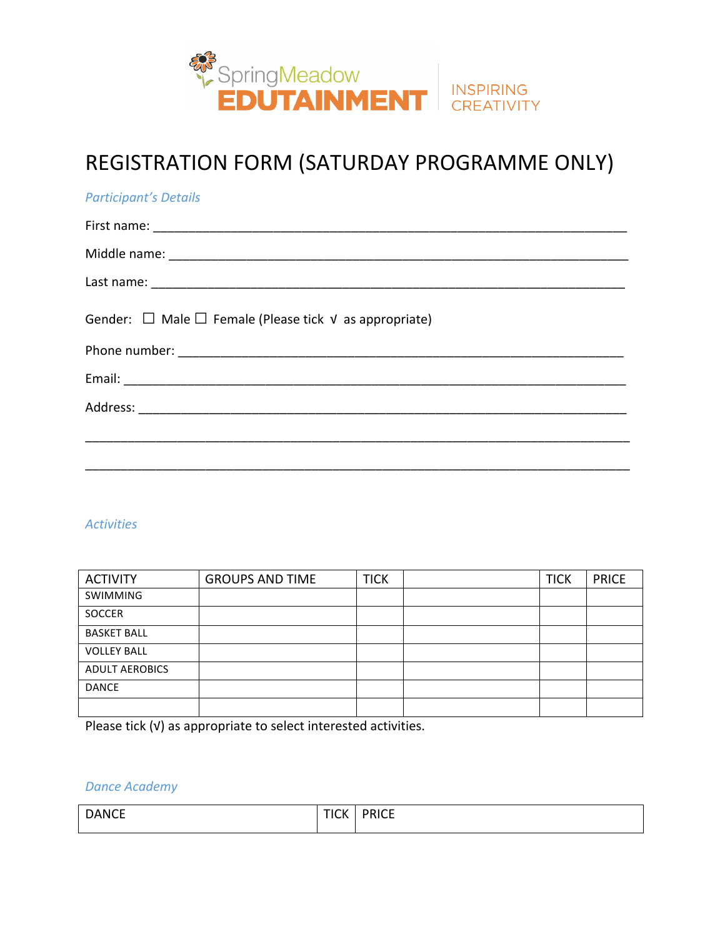

# REGISTRATION FORM (SATURDAY PROGRAMME ONLY)

| <b>Participant's Details</b>                                          |
|-----------------------------------------------------------------------|
|                                                                       |
|                                                                       |
|                                                                       |
| Gender: $\Box$ Male $\Box$ Female (Please tick $\vee$ as appropriate) |
|                                                                       |
|                                                                       |
|                                                                       |
|                                                                       |
|                                                                       |

#### *Activities*

| <b>ACTIVITY</b>       | <b>GROUPS AND TIME</b> | <b>TICK</b> | <b>TICK</b> | <b>PRICE</b> |
|-----------------------|------------------------|-------------|-------------|--------------|
| <b>SWIMMING</b>       |                        |             |             |              |
| SOCCER                |                        |             |             |              |
| <b>BASKET BALL</b>    |                        |             |             |              |
| <b>VOLLEY BALL</b>    |                        |             |             |              |
| <b>ADULT AEROBICS</b> |                        |             |             |              |
| <b>DANCE</b>          |                        |             |             |              |
|                       |                        |             |             |              |

Please tick (√) as appropriate to select interested activities.

### *Dance Academy*

| <b>DANCE</b> | <b>TICK</b> | <b>PRICE</b><br>_______ |
|--------------|-------------|-------------------------|
|              |             |                         |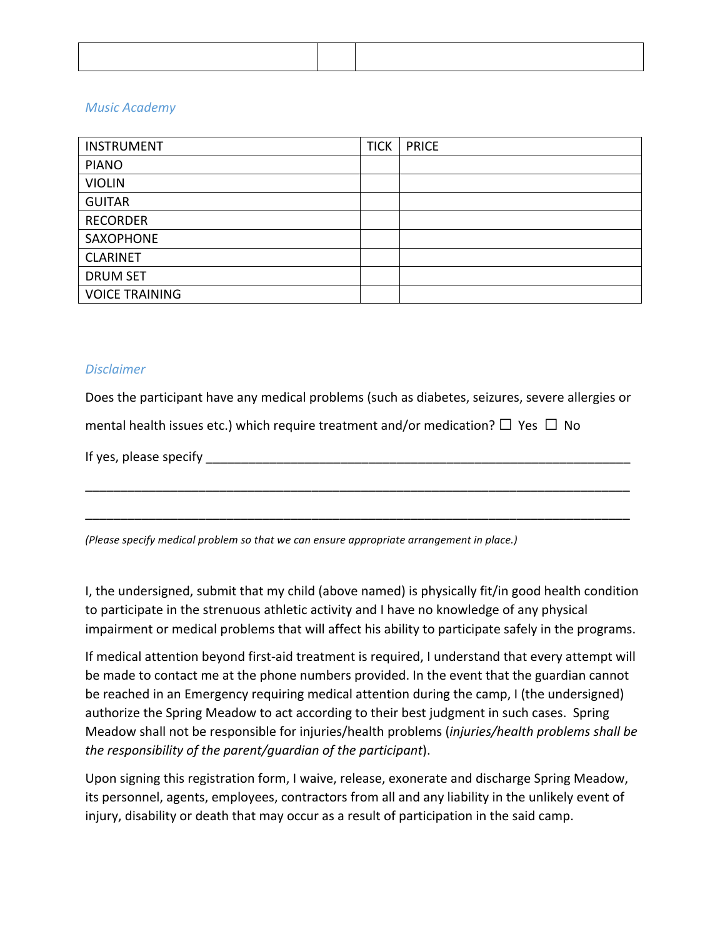#### *Music Academy*

| <b>INSTRUMENT</b>     | <b>TICK</b> | <b>PRICE</b> |
|-----------------------|-------------|--------------|
| <b>PIANO</b>          |             |              |
| <b>VIOLIN</b>         |             |              |
| <b>GUITAR</b>         |             |              |
| <b>RECORDER</b>       |             |              |
| SAXOPHONE             |             |              |
| <b>CLARINET</b>       |             |              |
| <b>DRUM SET</b>       |             |              |
| <b>VOICE TRAINING</b> |             |              |

#### *Disclaimer*

Does the participant have any medical problems (such as diabetes, seizures, severe allergies or mental health issues etc.) which require treatment and/or medication?  $\Box$  Yes  $\Box$  No

If yes, please specify \_\_\_\_\_\_\_\_\_\_\_\_\_\_\_\_\_\_\_\_\_\_\_\_\_\_\_\_\_\_\_\_\_\_\_\_\_\_\_\_\_\_\_\_\_\_\_\_\_\_\_\_\_\_\_\_\_\_\_\_

\_\_\_\_\_\_\_\_\_\_\_\_\_\_\_\_\_\_\_\_\_\_\_\_\_\_\_\_\_\_\_\_\_\_\_\_\_\_\_\_\_\_\_\_\_\_\_\_\_\_\_\_\_\_\_\_\_\_\_\_\_\_\_\_\_\_\_\_\_\_\_\_\_\_\_\_\_

\_\_\_\_\_\_\_\_\_\_\_\_\_\_\_\_\_\_\_\_\_\_\_\_\_\_\_\_\_\_\_\_\_\_\_\_\_\_\_\_\_\_\_\_\_\_\_\_\_\_\_\_\_\_\_\_\_\_\_\_\_\_\_\_\_\_\_\_\_\_\_\_\_\_\_\_\_

*(Please specify medical problem so that we can ensure appropriate arrangement in place.)* 

I, the undersigned, submit that my child (above named) is physically fit/in good health condition to participate in the strenuous athletic activity and I have no knowledge of any physical impairment or medical problems that will affect his ability to participate safely in the programs.

If medical attention beyond first-aid treatment is required, I understand that every attempt will be made to contact me at the phone numbers provided. In the event that the guardian cannot be reached in an Emergency requiring medical attention during the camp, I (the undersigned) authorize the Spring Meadow to act according to their best judgment in such cases. Spring Meadow shall not be responsible for injuries/health problems (*injuries/health problems shall be the responsibility of the parent/guardian of the participant*).

Upon signing this registration form, I waive, release, exonerate and discharge Spring Meadow, its personnel, agents, employees, contractors from all and any liability in the unlikely event of injury, disability or death that may occur as a result of participation in the said camp.